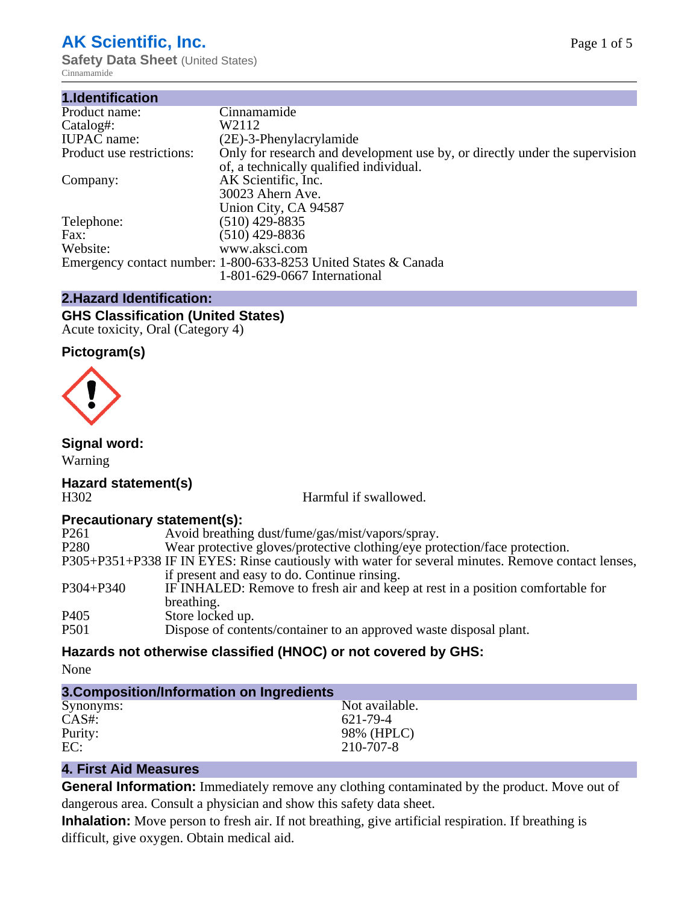## **AK Scientific, Inc.**

**Safety Data Sheet (United States)** Cinnamamide

| 1.Identification          |                                                                                                                        |
|---------------------------|------------------------------------------------------------------------------------------------------------------------|
| Product name:             | Cinnamamide                                                                                                            |
| Catalog#:                 | W2112                                                                                                                  |
| <b>IUPAC</b> name:        | $(2E)$ -3-Phenylacrylamide                                                                                             |
| Product use restrictions: | Only for research and development use by, or directly under the supervision<br>of, a technically qualified individual. |
| Company:                  | AK Scientific, Inc.<br>30023 Ahern Ave.<br>Union City, CA 94587                                                        |
| Telephone:                | $(510)$ 429-8835                                                                                                       |
| Fax:                      | (510) 429-8836                                                                                                         |
| Website:                  | www.aksci.com                                                                                                          |
|                           | Emergency contact number: 1-800-633-8253 United States & Canada<br>1-801-629-0667 International                        |

## **2.Hazard Identification:**

# **GHS Classification (United States)**

Acute toxicity, Oral (Category 4)

## **Pictogram(s)**



## **Signal word:**

Warning

# **Hazard statement(s)**

H302 Harmful if swallowed.

## **Precautionary statement(s):**

| $\ldots$         |                                                                                                    |
|------------------|----------------------------------------------------------------------------------------------------|
| P <sub>261</sub> | Avoid breathing dust/fume/gas/mist/vapors/spray.                                                   |
| P <sub>280</sub> | Wear protective gloves/protective clothing/eye protection/face protection.                         |
|                  | P305+P351+P338 IF IN EYES: Rinse cautiously with water for several minutes. Remove contact lenses, |
|                  | if present and easy to do. Continue rinsing.                                                       |
| P304+P340        | IF INHALED: Remove to fresh air and keep at rest in a position comfortable for                     |
|                  | breathing.                                                                                         |
| P <sub>405</sub> | Store locked up.                                                                                   |
| P501             | Dispose of contents/container to an approved waste disposal plant.                                 |
|                  |                                                                                                    |

## **Hazards not otherwise classified (HNOC) or not covered by GHS:**

None

| 3. Composition/Information on Ingredients |                |  |  |
|-------------------------------------------|----------------|--|--|
| Synonyms:                                 | Not available. |  |  |
| $CAS#$ :                                  | 621-79-4       |  |  |
| Purity:                                   | 98% (HPLC)     |  |  |
| EC:                                       | 210-707-8      |  |  |

## **4. First Aid Measures**

**General Information:** Immediately remove any clothing contaminated by the product. Move out of dangerous area. Consult a physician and show this safety data sheet.

**Inhalation:** Move person to fresh air. If not breathing, give artificial respiration. If breathing is difficult, give oxygen. Obtain medical aid.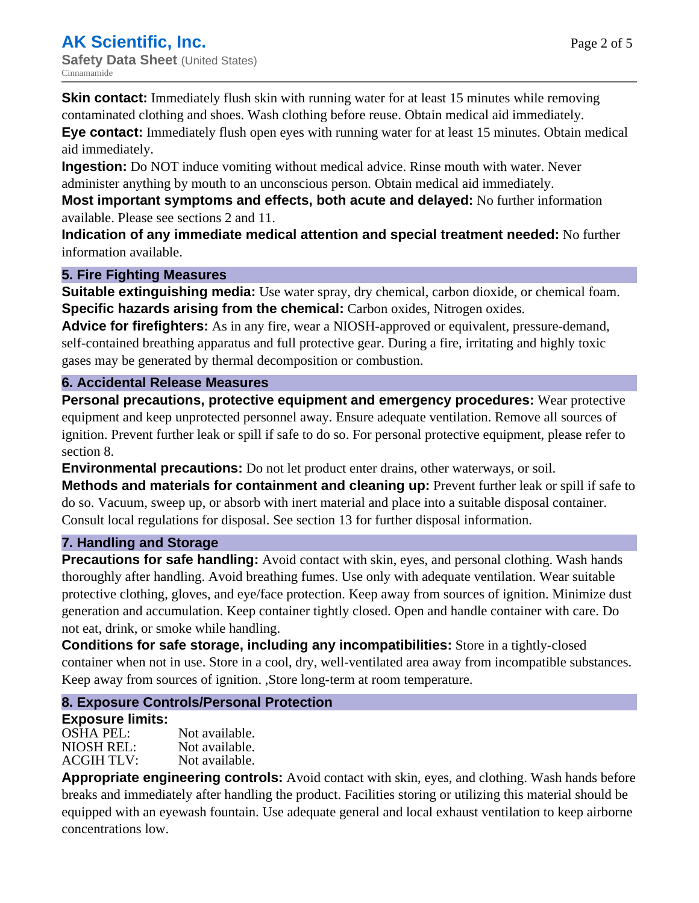**Skin contact:** Immediately flush skin with running water for at least 15 minutes while removing contaminated clothing and shoes. Wash clothing before reuse. Obtain medical aid immediately.

**Eye contact:** Immediately flush open eyes with running water for at least 15 minutes. Obtain medical aid immediately.

**Ingestion:** Do NOT induce vomiting without medical advice. Rinse mouth with water. Never administer anything by mouth to an unconscious person. Obtain medical aid immediately.

**Most important symptoms and effects, both acute and delayed:** No further information available. Please see sections 2 and 11.

**Indication of any immediate medical attention and special treatment needed:** No further information available.

## **5. Fire Fighting Measures**

**Suitable extinguishing media:** Use water spray, dry chemical, carbon dioxide, or chemical foam. **Specific hazards arising from the chemical:** Carbon oxides, Nitrogen oxides.

**Advice for firefighters:** As in any fire, wear a NIOSH-approved or equivalent, pressure-demand, self-contained breathing apparatus and full protective gear. During a fire, irritating and highly toxic gases may be generated by thermal decomposition or combustion.

## **6. Accidental Release Measures**

**Personal precautions, protective equipment and emergency procedures:** Wear protective equipment and keep unprotected personnel away. Ensure adequate ventilation. Remove all sources of ignition. Prevent further leak or spill if safe to do so. For personal protective equipment, please refer to section 8.

**Environmental precautions:** Do not let product enter drains, other waterways, or soil. **Methods and materials for containment and cleaning up:** Prevent further leak or spill if safe to do so. Vacuum, sweep up, or absorb with inert material and place into a suitable disposal container. Consult local regulations for disposal. See section 13 for further disposal information.

#### **7. Handling and Storage**

**Precautions for safe handling:** Avoid contact with skin, eyes, and personal clothing. Wash hands thoroughly after handling. Avoid breathing fumes. Use only with adequate ventilation. Wear suitable protective clothing, gloves, and eye/face protection. Keep away from sources of ignition. Minimize dust generation and accumulation. Keep container tightly closed. Open and handle container with care. Do not eat, drink, or smoke while handling.

**Conditions for safe storage, including any incompatibilities:** Store in a tightly-closed container when not in use. Store in a cool, dry, well-ventilated area away from incompatible substances. Keep away from sources of ignition. ,Store long-term at room temperature.

## **8. Exposure Controls/Personal Protection**

## **Exposure limits:**

| <b>OSHA PEL:</b>  | Not available. |
|-------------------|----------------|
| NIOSH REL:        | Not available. |
| <b>ACGIH TLV:</b> | Not available. |

**Appropriate engineering controls:** Avoid contact with skin, eyes, and clothing. Wash hands before breaks and immediately after handling the product. Facilities storing or utilizing this material should be equipped with an eyewash fountain. Use adequate general and local exhaust ventilation to keep airborne concentrations low.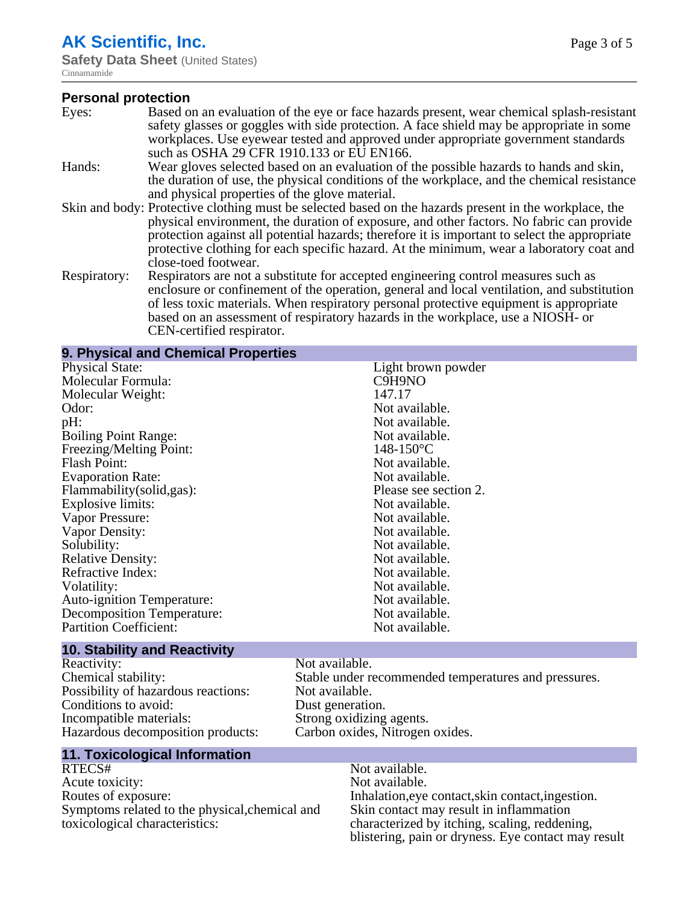## **AK Scientific, Inc.**

**Safety Data Sheet** (United States) Cinnamamide

#### **Personal protection**

- Eyes: Based on an evaluation of the eye or face hazards present, wear chemical splash-resistant safety glasses or goggles with side protection. A face shield may be appropriate in some workplaces. Use eyewear tested and approved under appropriate government standards such as OSHA 29 CFR 1910.133 or EU EN166. Hands: Wear gloves selected based on an evaluation of the possible hazards to hands and skin, the duration of use, the physical conditions of the workplace, and the chemical resistance and physical properties of the glove material. Skin and body: Protective clothing must be selected based on the hazards present in the workplace, the
- physical environment, the duration of exposure, and other factors. No fabric can provide protection against all potential hazards; therefore it is important to select the appropriate protective clothing for each specific hazard. At the minimum, wear a laboratory coat and close-toed footwear.
- Respiratory: Respirators are not a substitute for accepted engineering control measures such as enclosure or confinement of the operation, general and local ventilation, and substitution of less toxic materials. When respiratory personal protective equipment is appropriate based on an assessment of respiratory hazards in the workplace, use a NIOSH- or CEN-certified respirator.

| 9. Physical and Chemical Properties |                       |
|-------------------------------------|-----------------------|
| <b>Physical State:</b>              | Light brown powder    |
| Molecular Formula:                  | C9H9NO                |
| Molecular Weight:                   | 147.17                |
| Odor:                               | Not available.        |
| pH:                                 | Not available.        |
| <b>Boiling Point Range:</b>         | Not available.        |
| Freezing/Melting Point:             | $148 - 150$ °C        |
| <b>Flash Point:</b>                 | Not available.        |
| <b>Evaporation Rate:</b>            | Not available.        |
| Flammability(solid,gas):            | Please see section 2. |
| Explosive limits:                   | Not available.        |
| Vapor Pressure:                     | Not available.        |
| Vapor Density:                      | Not available.        |
| Solubility:                         | Not available.        |
| <b>Relative Density:</b>            | Not available.        |
| Refractive Index:                   | Not available.        |
| Volatility:                         | Not available.        |
| <b>Auto-ignition Temperature:</b>   | Not available.        |
| Decomposition Temperature:          | Not available.        |
| <b>Partition Coefficient:</b>       | Not available.        |
|                                     |                       |

#### **10. Stability and Reactivity**

| Reactivity:                         |
|-------------------------------------|
| Chemical stability:                 |
| Possibility of hazardous reactions: |
| Conditions to avoid:                |
| Incompatible materials:             |
| Hazardous decomposition products:   |

#### Not available. Stable under recommended temperatures and pressures. Not available. Dust generation. Strong oxidizing agents. Carbon oxides, Nitrogen oxides.

#### **11. Toxicological Information**

RTECS# Not available. Acute toxicity: Not available. Routes of exposure: Inhalation,eye contact,skin contact,ingestion. Symptoms related to the physical,chemical and toxicological characteristics:

Skin contact may result in inflammation characterized by itching, scaling, reddening, blistering, pain or dryness. Eye contact may result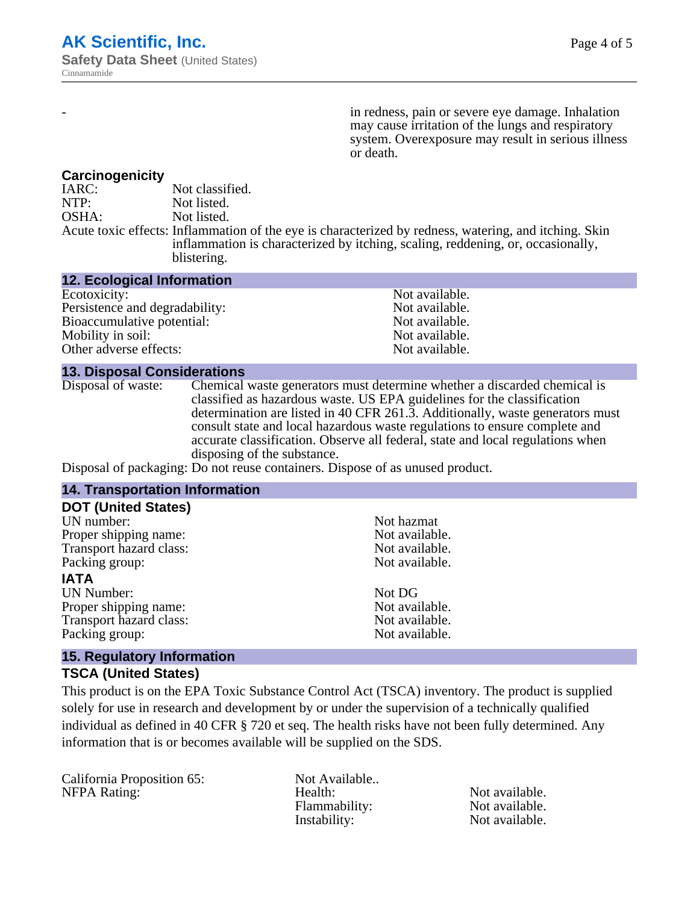in redness, pain or severe eye damage. Inhalation may cause irritation of the lungs and respiratory system. Overexposure may result in serious illness or death.

#### **Carcinogenicity**

IARC: Not classified.<br>
NOTP: Not listed. Not listed. OSHA: Not listed. Acute toxic effects: Inflammation of the eye is characterized by redness, watering, and itching. Skin inflammation is characterized by itching, scaling, reddening, or, occasionally, blistering.

| <b>12. Ecological Information</b> |                |
|-----------------------------------|----------------|
| Ecotoxicity:                      | Not available. |
| Persistence and degradability:    | Not available. |
| Bioaccumulative potential:        | Not available. |
| Mobility in soil:                 | Not available. |
| Other adverse effects:            | Not available. |

#### **13. Disposal Considerations**

Disposal of waste: Chemical waste generators must determine whether a discarded chemical is classified as hazardous waste. US EPA guidelines for the classification determination are listed in 40 CFR 261.3. Additionally, waste generators must consult state and local hazardous waste regulations to ensure complete and accurate classification. Observe all federal, state and local regulations when disposing of the substance.

Disposal of packaging: Do not reuse containers. Dispose of as unused product.

| <b>14. Transportation Information</b>                           |                |  |
|-----------------------------------------------------------------|----------------|--|
| <b>DOT (United States)</b>                                      |                |  |
| UN number:                                                      | Not hazmat     |  |
| Proper shipping name:                                           | Not available. |  |
| Transport hazard class:                                         | Not available. |  |
| Packing group:                                                  | Not available. |  |
| <b>IATA</b>                                                     |                |  |
| <b>UN Number:</b>                                               | Not DG         |  |
| Proper shipping name:                                           | Not available. |  |
| Transport hazard class:                                         | Not available. |  |
| Packing group:                                                  | Not available. |  |
| $\overline{AB}$ . For an electronic fundamental $\overline{AB}$ |                |  |

#### **15. Regulatory Information**

#### **TSCA (United States)**

This product is on the EPA Toxic Substance Control Act (TSCA) inventory. The product is supplied solely for use in research and development by or under the supervision of a technically qualified individual as defined in 40 CFR § 720 et seq. The health risks have not been fully determined. Any information that is or becomes available will be supplied on the SDS.

California Proposition 65: Not Available..

NFPA Rating: The Mealth: Health: Not available.<br>
Hammability: Not available. Flammability: Instability: Not available.